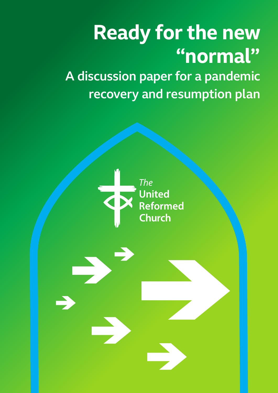# **Ready for the new "normal"**

A discussion paper for a pandemic recovery and resumption plan

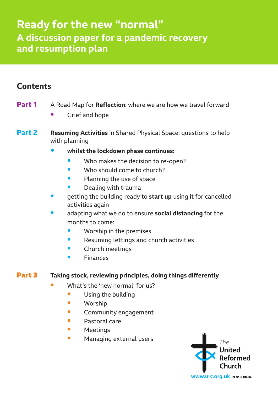# **Ready for the new "normal" A discussion paper for a pandemic recovery and resumption plan**

# **Contents**

- **Part 1** A Road Map for **Reflection**: where we are how we travel forward
	- Grief and hope
- **Part 2 Resuming Activities** in Shared Physical Space: questions to help with planning
	- **• whilst the lockdown phase continues:**
		- Who makes the decision to re-open?
		- Who should come to church?
		- Planning the use of space
		- Dealing with trauma
	- getting the building ready to **start up** using it for cancelled activities again
	- adapting what we do to ensure **social distancing** for the months to come:
		- Worship in the premises
		- Resuming lettings and church activities
		- Church meetings
		- **Finances**

#### **Part 3 Taking stock, reviewing principles, doing things differently**

- What's the 'new normal' for us?
	- Using the building
	- Worship
	- Community engagement
	- Pastoral care
	- Meetings
	- Managing external users

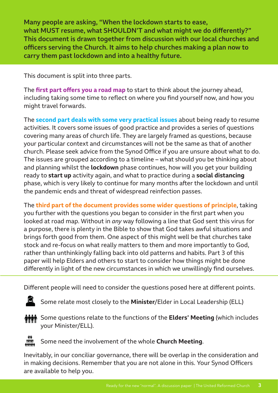Many people are asking, "When the lockdown starts to ease, what MUST resume, what SHOULDN'T and what might we do differently?" This document is drawn together from discussion with our local churches and officers serving the Church. It aims to help churches making a plan now to carry them past lockdown and into a healthy future.

This document is split into three parts.

The **first part offers you a road map** to start to think about the journey ahead, including taking some time to reflect on where you find yourself now, and how you might travel forwards.

The **second part deals with some very practical issues** about being ready to resume activities. It covers some issues of good practice and provides a series of questions covering many areas of church life. They are largely framed as questions, because your particular context and circumstances will not be the same as that of another church. Please seek advice from the Synod Office if you are unsure about what to do. The issues are grouped according to a timeline – what should you be thinking about and planning whilst the **lockdown** phase continues, how will you get your building ready to **start up** activity again, and what to practice during a **social distancing**  phase, which is very likely to continue for many months after the lockdown and until the pandemic ends and threat of widespread reinfection passes.

The **third part of the document provides some wider questions of principle**, taking you further with the questions you began to consider in the first part when you looked at road map. Without in *any* way following a line that God sent this virus for a purpose, there is plenty in the Bible to show that God takes awful situations and brings forth good from them. One aspect of this might well be that churches take stock and re-focus on what really matters to them and more importantly to God, rather than unthinkingly falling back into old patterns and habits. Part 3 of this paper will help Elders and others to start to consider how things might be done differently in light of the new circumstances in which we unwillingly find ourselves.

Different people will need to consider the questions posed here at different points.



Some relate most closely to the **Minister**/Elder in Local Leadership (ELL)



Some questions relate to the functions of the **Elders' Meeting** (which includes your Minister/ELL).



Some need the involvement of the whole **Church Meeting**.

Inevitably, in our conciliar governance, there will be overlap in the consideration and in making decisions. Remember that you are not alone in this. Your Synod Officers are available to help you.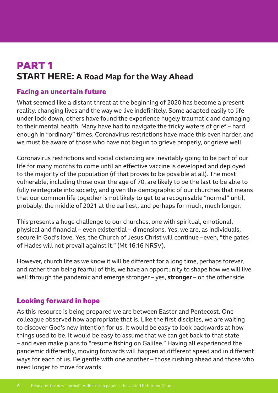# **PART 1 START HERE: A Road Map for the Way Ahead**

#### **Facing an uncertain future**

What seemed like a distant threat at the beginning of 2020 has become a present reality, changing lives and the way we live indefinitely. Some adapted easily to life under lock down, others have found the experience hugely traumatic and damaging to their mental health. Many have had to navigate the tricky waters of grief – hard enough in "ordinary" times. Coronavirus restrictions have made this even harder, and we must be aware of those who have not begun to grieve properly, or grieve well.

Coronavirus restrictions and social distancing are inevitably going to be part of our life for many months to come until an effective vaccine is developed and deployed to the majority of the population (if that proves to be possible at all). The most vulnerable, including those over the age of 70, are likely to be the last to be able to fully reintegrate into society, and given the demographic of our churches that means that our common life together is not likely to get to a recognisable "normal" until, probably, the middle of 2021 at the earliest, and perhaps for much, much longer.

This presents a huge challenge to our churches, one with spiritual, emotional, physical and financial – even existential – dimensions. Yes, we are, as individuals, secure in God's love. Yes, the Church of Jesus Christ will continue –even, "the gates of Hades will not prevail against it." (Mt 16:16 NRSV).

However, church life as we know it will be different for a long time, perhaps forever, and rather than being fearful of this, we have an opportunity to shape how we will live well through the pandemic and emerge stronger – yes, **stronger** – on the other side.

#### **Looking forward in hope**

As this resource is being prepared we are between Easter and Pentecost. One colleague observed how appropriate that is. Like the first disciples, we are waiting to discover God's new intention for us. It would be easy to look backwards at how things used to be. It would be easy to assume that we can get back to that state – and even make plans to "resume fishing on Galilee." Having all experienced the pandemic differently, moving forwards will happen at different speed and in different ways for each of us. Be gentle with one another – those rushing ahead and those who need longer to move forwards.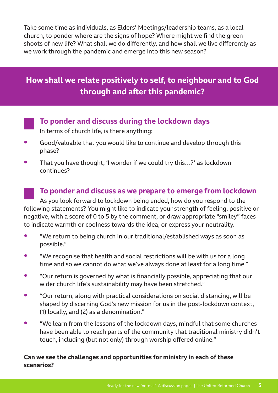Take some time as individuals, as Elders' Meetings/leadership teams, as a local church, to ponder where are the signs of hope? Where might we find the green shoots of new life? What shall we do differently, and how shall we live differently as we work through the pandemic and emerge into this new season?

# **How shall we relate positively to self, to neighbour and to God through and after this pandemic?**

**To ponder and discuss during the lockdown days**

In terms of church life, is there anything:

- Good/valuable that you would like to continue and develop through this phase?
- That you have thought, 'I wonder if we could try this…?' as lockdown continues?

#### **To ponder and discuss as we prepare to emerge from lockdown**

As you look forward to lockdown being ended, how do you respond to the following statements? You might like to indicate your strength of feeling, positive or negative, with a score of 0 to 5 by the comment, or draw appropriate "smiley" faces to indicate warmth or coolness towards the idea, or express your neutrality.

- "We return to being church in our traditional/established ways as soon as possible."
- "We recognise that health and social restrictions will be with us for a long time and so we cannot do what we've always done at least for a long time."
- "Our return is governed by what is financially possible, appreciating that our wider church life's sustainability may have been stretched."
- "Our return, along with practical considerations on social distancing, will be shaped by discerning God's new mission for us in the post-lockdown context, (1) locally, and (2) as a denomination."
- "We learn from the lessons of the lockdown days, mindful that some churches have been able to reach parts of the community that traditional ministry didn't touch, including (but not only) through worship offered online."

#### **Can we see the challenges and opportunities for ministry in each of these scenarios?**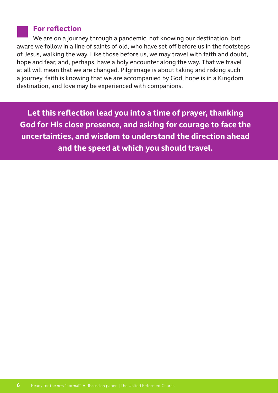#### **For reflection**

We are on a journey through a pandemic, not knowing our destination, but aware we follow in a line of saints of old, who have set off before us in the footsteps of Jesus, walking the way. Like those before us, we may travel with faith and doubt, hope and fear, and, perhaps, have a holy encounter along the way. That we travel at all will mean that we are changed. Pilgrimage is about taking and risking such a journey, faith is knowing that we are accompanied by God, hope is in a Kingdom destination, and love may be experienced with companions.

**Let this reflection lead you into a time of prayer, thanking God for His close presence, and asking for courage to face the uncertainties, and wisdom to understand the direction ahead and the speed at which you should travel.**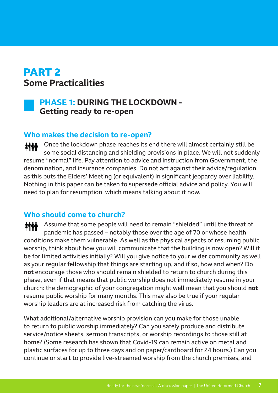# **PART 2 Some Practicalities**



# **PHASE 1: DURING THE LOCKDOWN - Getting ready to re-open**

#### **Who makes the decision to re-open?**

Once the lockdown phase reaches its end there will almost certainly still be **MM** some social distancing and shielding provisions in place. We will not suddenly resume "normal" life. Pay attention to advice and instruction from Government, the denomination, and insurance companies. Do not act against their advice/regulation as this puts the Elders' Meeting (or equivalent) in significant jeopardy over liability. Nothing in this paper can be taken to supersede official advice and policy. You will need to plan for resumption, which means talking about it now.

# **Who should come to church?**

**MM** Assume that some people will need to remain "shielded" until the threat of pandemic has passed – notably those over the age of 70 or whose health conditions make them vulnerable. As well as the physical aspects of resuming public worship, think about how you will communicate that the building is now open? Will it be for limited activities initially? Will you give notice to your wider community as well as your regular fellowship that things are starting up, and if so, how and when? Do **not** encourage those who should remain shielded to return to church during this phase, even if that means that public worship does not immediately resume in your church: the demographic of your congregation might well mean that you should **not** resume public worship for many months. This may also be true if your regular worship leaders are at increased risk from catching the virus.

What additional/alternative worship provision can you make for those unable to return to public worship immediately? Can you safely produce and distribute service/notice sheets, sermon transcripts, or worship recordings to those still at home? (Some research has shown that Covid-19 can remain active on metal and plastic surfaces for up to three days and on paper/cardboard for 24 hours.) Can you continue or start to provide live-streamed worship from the church premises, and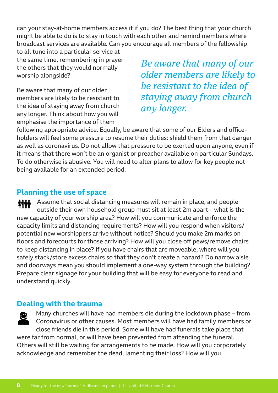can your stay-at-home members access it if you do? The best thing that your church might be able to do is to stay in touch with each other and remind members where broadcast services are available. Can you encourage all members of the fellowship

to all tune into a particular service at the same time, remembering in prayer the others that they would normally worship alongside?

Be aware that many of our older members are likely to be resistant to the idea of staying away from church any longer. Think about how you will emphasise the importance of them

*Be aware that many of our older members are likely to be resistant to the idea of staying away from church any longer.*

following appropriate advice. Equally, be aware that some of our Elders and officeholders will feel some pressure to resume their duties: shield them from that danger as well as coronavirus. Do not allow that pressure to be exerted upon anyone, even if it means that there won't be an organist or preacher available on particular Sundays. To do otherwise is abusive. You will need to alter plans to allow for key people not being available for an extended period.

# **Planning the use of space**

Assume that social distancing measures will remain in place, and people *MMM* outside their own household group must sit at least 2m apart – what is the new capacity of your worship area? How will you communicate and enforce the capacity limits and distancing requirements? How will you respond when visitors/ potential new worshippers arrive without notice? Should you make 2m marks on floors and forecourts for those arriving? How will you close off pews/remove chairs to keep distancing in place? If you have chairs that are moveable, where will you safely stack/store excess chairs so that they don't create a hazard? Do narrow aisle and doorways mean you should implement a one-way system through the building? Prepare clear signage for your building that will be easy for everyone to read and understand quickly.

# **Dealing with the trauma**

Many churches will have had members die during the lockdown phase – from Coronavirus or other causes. Most members will have had family members or close friends die in this period. Some will have had funerals take place that were far from normal, or will have been prevented from attending the funeral. Others will still be waiting for arrangements to be made. How will you corporately acknowledge and remember the dead, lamenting their loss? How will you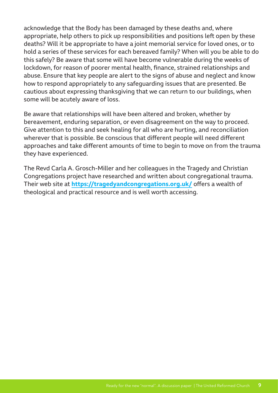acknowledge that the Body has been damaged by these deaths and, where appropriate, help others to pick up responsibilities and positions left open by these deaths? Will it be appropriate to have a joint memorial service for loved ones, or to hold a series of these services for each bereaved family? When will you be able to do this safely? Be aware that some will have become vulnerable during the weeks of lockdown, for reason of poorer mental health, finance, strained relationships and abuse. Ensure that key people are alert to the signs of abuse and neglect and know how to respond appropriately to any safeguarding issues that are presented. Be cautious about expressing thanksgiving that we can return to our buildings, when some will be acutely aware of loss.

Be aware that relationships will have been altered and broken, whether by bereavement, enduring separation, or even disagreement on the way to proceed. Give attention to this and seek healing for all who are hurting, and reconciliation wherever that is possible. Be conscious that different people will need different approaches and take different amounts of time to begin to move on from the trauma they have experienced.

The Revd Carla A. Grosch-Miller and her colleagues in the Tragedy and Christian Congregations project have researched and written about congregational trauma. Their web site at **https://tragedyandcongregations.org.uk/** offers a wealth of theological and practical resource and is well worth accessing.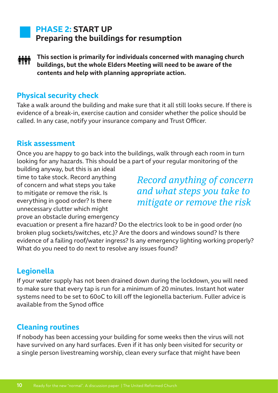# **PHASE 2: START UP Preparing the buildings for resumption**

**This section is primarily for individuals concerned with managing church buildings, but the whole Elders Meeting will need to be aware of the contents and help with planning appropriate action.**

## **Physical security check**

Take a walk around the building and make sure that it all still looks secure. If there is evidence of a break-in, exercise caution and consider whether the police should be called. In any case, notify your insurance company and Trust Officer.

#### **Risk assessment**

Once you are happy to go back into the buildings, walk through each room in turn looking for any hazards. This should be a part of your regular monitoring of the

building anyway, but this is an ideal time to take stock. Record anything of concern and what steps you take to mitigate or remove the risk. Is everything in good order? Is there unnecessary clutter which might prove an obstacle during emergency

*Record anything of concern and what steps you take to mitigate or remove the risk*

evacuation or present a fire hazard? Do the electrics look to be in good order (no broken plug sockets/switches, etc.)? Are the doors and windows sound? Is there evidence of a failing roof/water ingress? Is any emergency lighting working properly? What do you need to do next to resolve any issues found?

# **Legionella**

If your water supply has not been drained down during the lockdown, you will need to make sure that every tap is run for a minimum of 20 minutes. Instant hot water systems need to be set to 60oC to kill off the legionella bacterium. Fuller advice is available from the Synod office

# **Cleaning routines**

If nobody has been accessing your building for some weeks then the virus will not have survived on any hard surfaces. Even if it has only been visited for security or a single person livestreaming worship, clean every surface that might have been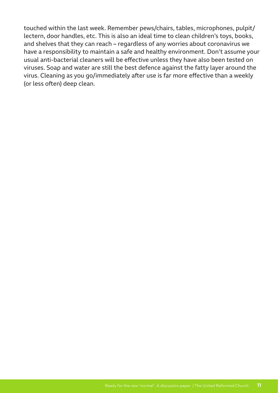touched within the last week. Remember pews/chairs, tables, microphones, pulpit/ lectern, door handles, etc. This is also an ideal time to clean children's toys, books, and shelves that they can reach – regardless of any worries about coronavirus we have a responsibility to maintain a safe and healthy environment. Don't assume your usual anti-bacterial cleaners will be effective unless they have also been tested on viruses. Soap and water are still the best defence against the fatty layer around the virus. Cleaning as you go/immediately after use is far more effective than a weekly (or less often) deep clean.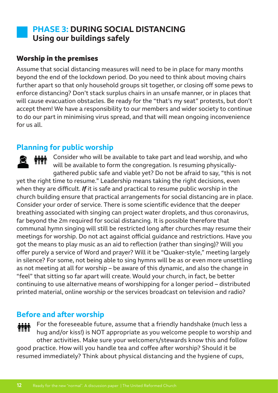# **PHASE 3: DURING SOCIAL DISTANCING Using our buildings safely**

#### **Worship in the premises**

Assume that social distancing measures will need to be in place for many months beyond the end of the lockdown period. Do you need to think about moving chairs further apart so that only household groups sit together, or closing off some pews to enforce distancing? Don't stack surplus chairs in an unsafe manner, or in places that will cause evacuation obstacles. Be ready for the "that's my seat" protests, but don't accept them! We have a responsibility to our members and wider society to continue to do our part in minimising virus spread, and that will mean ongoing inconvenience for us all.

## **Planning for public worship**

Consider who will be available to take part and lead worship, and who will be available to form the congregation. Is resuming physicallygathered public safe and viable yet? Do not be afraid to say, "this is not yet the right time to resume." Leadership means taking the right decisions, even when they are difficult. *If* it is safe and practical to resume public worship in the church building ensure that practical arrangements for social distancing are in place. Consider your order of service. There is some scientific evidence that the deeper breathing associated with singing can project water droplets, and thus coronavirus, far beyond the 2m required for social distancing. It is possible therefore that communal hymn singing will still be restricted long after churches may resume their meetings for worship. Do not act against official guidance and restrictions. Have you got the means to play music as an aid to reflection (rather than singing)? Will you offer purely a service of Word and prayer? Will it be "Quaker-style," meeting largely in silence? For some, not being able to sing hymns will be as or even more unsettling as not meeting at all for worship – be aware of this dynamic, and also the change in "feel" that sitting so far apart will create. Would your church, in fact, be better continuing to use alternative means of worshipping for a longer period – distributed printed material, online worship or the services broadcast on television and radio?

#### **Before and after worship**

For the foreseeable future, assume that a friendly handshake (much less a hug and/or kiss!) is NOT appropriate as you welcome people to worship and other activities. Make sure your welcomers/stewards know this and follow good practice. How will you handle tea and coffee after worship? Should it be resumed immediately? Think about physical distancing and the hygiene of cups,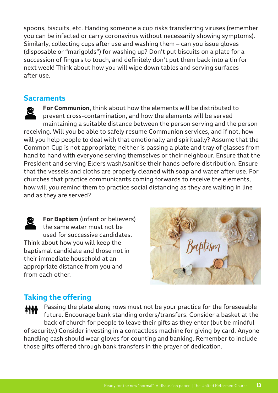spoons, biscuits, etc. Handing someone a cup risks transferring viruses (remember you can be infected or carry coronavirus without necessarily showing symptoms). Similarly, collecting cups after use and washing them – can you issue gloves (disposable or "marigolds") for washing up? Don't put biscuits on a plate for a succession of fingers to touch, and definitely don't put them back into a tin for next week! Think about how you will wipe down tables and serving surfaces after use.

#### **Sacraments**

**For Communion**, think about how the elements will be distributed to prevent cross-contamination, and how the elements will be served maintaining a suitable distance between the person serving and the person receiving. Will you be able to safely resume Communion services, and if not, how will you help people to deal with that emotionally and spiritually? Assume that the Common Cup is not appropriate; neither is passing a plate and tray of glasses from hand to hand with everyone serving themselves or their neighbour. Ensure that the President and serving Elders wash/sanitise their hands before distribution. Ensure that the vessels and cloths are properly cleaned with soap and water after use. For churches that practice communicants coming forwards to receive the elements, how will you remind them to practice social distancing as they are waiting in line and as they are served?

**For Baptism** (infant or believers) the same water must not be used for successive candidates. Think about how you will keep the baptismal candidate and those not in their immediate household at an appropriate distance from you and from each other.



# **Taking the offering**

Passing the plate along rows must not be your practice for the foreseeable future. Encourage bank standing orders/transfers. Consider a basket at the back of church for people to leave their gifts as they enter (but be mindful of security.) Consider investing in a contactless machine for giving by card. Anyone handling cash should wear gloves for counting and banking. Remember to include those gifts offered through bank transfers in the prayer of dedication.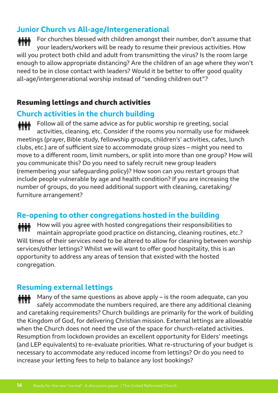# **Junior Church vs All-age/Intergenerational**

For churches blessed with children amongst their number, don't assume that your leaders/workers will be ready to resume their previous activities. How will you protect both child and adult from transmitting the virus? Is the room large enough to allow appropriate distancing? Are the children of an age where they won't need to be in close contact with leaders? Would it be better to offer good quality all-age/intergenerational worship instead of "sending children out"?

## **Resuming lettings and church activities**

# **Church activities in the church building**

Follow all of the same advice as for public worship re greeting, social activities, cleaning, etc. Consider if the rooms you normally use for midweek meetings (prayer, Bible study, fellowship groups, children's' activities, cafes, lunch clubs, etc.) are of sufficient size to accommodate group sizes – might you need to move to a different room, limit numbers, or split into more than one group? How will you communicate this? Do you need to safely recruit new group leaders (remembering your safeguarding policy)? How soon can you restart groups that include people vulnerable by age and health condition? If you are increasing the number of groups, do you need additional support with cleaning, caretaking/ furniture arrangement?

# **Re-opening to other congregations hosted in the building**

How will you agree with hosted congregations their responsibilities to maintain appropriate good practice on distancing, cleaning routines, etc.? Will times of their services need to be altered to allow for cleaning between worship services/other lettings? Whilst we will want to offer good hospitality, this is an opportunity to address any areas of tension that existed with the hosted congregation.

# **Resuming external lettings**

**MM** Many of the same questions as above apply – is the room adequate, can you safely accommodate the numbers required, are there any additional cleaning and caretaking requirements? Church buildings are primarily for the work of building the Kingdom of God, for delivering Christian mission. External lettings are allowable when the Church does not need the use of the space for church-related activities. Resumption from lockdown provides an excellent opportunity for Elders' meetings (and LEP equivalents) to re-evaluate priorities. What re-structuring of your budget is necessary to accommodate any reduced income from lettings? Or do you need to increase your letting fees to help to balance any lost bookings?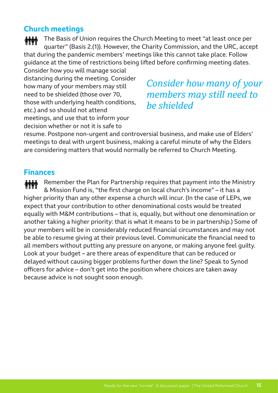# **Church meetings**

The Basis of Union requires the Church Meeting to meet "at least once per quarter" (Basis 2.(1)). However, the Charity Commission, and the URC, accept that during the pandemic members' meetings like this cannot take place. Follow guidance at the time of restrictions being lifted before confirming meeting dates.

Consider how you will manage social distancing during the meeting. Consider how many of your members may still need to be shielded (those over 70, those with underlying health conditions, etc.) and so should not attend meetings, and use that to inform your decision whether or not it is safe to

# *Consider how many of your members may still need to be shielded*

resume. Postpone non-urgent and controversial business, and make use of Elders' meetings to deal with urgent business, making a careful minute of why the Elders are considering matters that would normally be referred to Church Meeting.

# **Finances**

Remember the Plan for Partnership requires that payment into the Ministry **MM** & Mission Fund is, "the first charge on local church's income" – it has a higher priority than any other expense a church will incur. (In the case of LEPs, we expect that your contribution to other denominational costs would be treated equally with M&M contributions – that is, equally, but without one denomination or another taking a higher priority: that is what it means to be in partnership.) Some of your members will be in considerably reduced financial circumstances and may not be able to resume giving at their previous level. Communicate the financial need to all members without putting any pressure on anyone, or making anyone feel guilty. Look at your budget – are there areas of expenditure that can be reduced or delayed without causing bigger problems further down the line? Speak to Synod officers for advice – don't get into the position where choices are taken away because advice is not sought soon enough.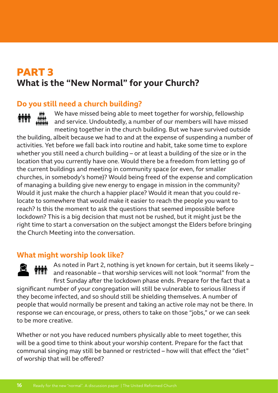# **PART 3 What is the "New Normal" for your Church?**

# **Do you still need a church building?**

We have missed being able to meet together for worship, fellowship and service. Undoubtedly, a number of our members will have missed meeting together in the church building. But we have survived outside

the building, albeit because we had to and at the expense of suspending a number of activities. Yet before we fall back into routine and habit, take some time to explore whether you still need a church building – or at least a building of the size or in the location that you currently have one. Would there be a freedom from letting go of the current buildings and meeting in community space (or even, for smaller churches, in somebody's home)? Would being freed of the expense and complication of managing a building give new energy to engage in mission in the community? Would it just make the church a happier place? Would it mean that you could relocate to somewhere that would make it easier to reach the people you want to reach? Is this the moment to ask the questions that seemed impossible before lockdown? This is a big decision that must not be rushed, but it might just be the right time to start a conversation on the subject amongst the Elders before bringing the Church Meeting into the conversation.

# **What might worship look like?**

As noted in Part 2, nothing is yet known for certain, but it seems likely – **THE** and reasonable – that worship services will not look "normal" from the first Sunday after the lockdown phase ends. Prepare for the fact that a significant number of your congregation will still be vulnerable to serious illness if they become infected, and so should still be shielding themselves. A number of people that would normally be present and taking an active role may not be there. In response we can encourage, or press, others to take on those "jobs," or we can seek to be more creative.

Whether or not you have reduced numbers physically able to meet together, this will be a good time to think about your worship content. Prepare for the fact that communal singing may still be banned or restricted – how will that effect the "diet" of worship that will be offered?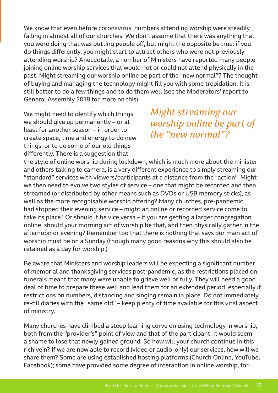We know that even before coronavirus, numbers attending worship were steadily falling in almost all of our churches. We don't assume that there was anything that you were doing that was putting people off, but might the opposite be true: if you do things differently, you might start to attract others who were not previously attending worship? Anecdotally, a number of Ministers have reported many people joining online worship services that would not or could not attend physically in the past. Might streaming our worship online be part of the "new normal"? The thought of buying and managing the technology might fill you with some trepidation. It is still better to do a few things and to do them well (see the Moderators' report to General Assembly 2018 for more on this).

We might need to identify which things we should give up permanently – or at least for another season – in order to create space, time and energy to do new things, or to do some of our old things differently. There is a suggestion that

*Might streaming our worship online be part of the "new normal"?*

the style of online worship during lockdown, which is much more about the minister and others talking to camera, is a very different experience to simply streaming our "standard" services with viewers/participants at a distance from the "action". Might we then need to evolve two styles of service – one that might be recorded and then streamed (or distributed by other means such as DVDs or USB memory sticks), as well as the more recognisable worship offering? Many churches, pre-pandemic, had stopped their evening service – might an online or recorded service come to take its place? Or should it be vice versa – if you are getting a larger congregation online, should your morning act of worship be that, and then physically gather in the afternoon or evening? Remember too that there is nothing that says our main act of worship must be on a Sunday (though many good reasons why this should also be retained as a day for worship.)

Be aware that Ministers and worship leaders will be expecting a significant number of memorial and thanksgiving services post-pandemic, as the restrictions placed on funerals meant that many were unable to grieve well or fully. They will need a good deal of time to prepare these well and lead them for an extended period, especially if restrictions on numbers, distancing and singing remain in place. Do not immediately re-fill diaries with the "same old" – keep plenty of time available for this vital aspect of ministry.

Many churches have climbed a steep learning curve on using technology in worship, both from the "provider's" point of view and that of the participant. It would seem a shame to lose that newly gained ground. So how will your church continue in this rich vein? If we are now able to record (video or audio-only) our services, how will we share them? Some are using established hosting platforms (Church Online, YouTube, Facebook); some have provided some degree of interaction in online worship, for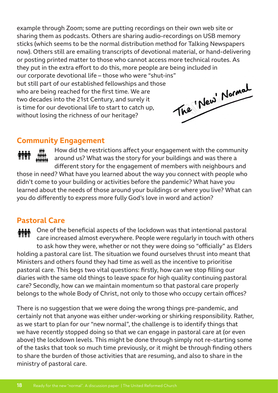example through Zoom; some are putting recordings on their own web site or sharing them as podcasts. Others are sharing audio-recordings on USB memory sticks (which seems to be the normal distribution method for Talking Newspapers now). Others still are emailing transcripts of devotional material, or hand-delivering or posting printed matter to those who cannot access more technical routes. As they put in the extra effort to do this, more people are being included in our corporate devotional life – those who were "shut-ins"<br>but still part of our established fellowships and those<br>who are being reached for the first time. We are<br>two decades into the 21st Century, and surely it<br>is time fo but still part of our established fellowships and those who are being reached for the first time. We are two decades into the 21st Century, and surely it is time for our devotional life to start to catch up, without losing the richness of our heritage?

## **Community Engagement**

How did the restrictions affect your engagement with the community around us? What was the story for your buildings and was there a different story for the engagement of members with neighbours and those in need? What have you learned about the way you connect with people who didn't come to your building or activities before the pandemic? What have you learned about the needs of those around your buildings or where you live? What can you do differently to express more fully God's love in word and action?

# **Pastoral Care**

One of the beneficial aspects of the lockdown was that intentional pastoral care increased almost everywhere. People were regularly in touch with others to ask how they were, whether or not they were doing so "officially" as Elders holding a pastoral care list. The situation we found ourselves thrust into meant that Ministers and others found they had time as well as the incentive to prioritise pastoral care. This begs two vital questions: firstly, how can we stop filling our diaries with the same old things to leave space for high quality continuing pastoral care? Secondly, how can we maintain momentum so that pastoral care properly belongs to the whole Body of Christ, not only to those who occupy certain offices?

There is no suggestion that we were doing the wrong things pre-pandemic, and certainly not that anyone was either under-working or shirking responsibility. Rather, as we start to plan for our "new normal", the challenge is to identify things that we have recently stopped doing so that we can engage in pastoral care at (or even above) the lockdown levels. This might be done through simply not re-starting some of the tasks that took so much time previously, or it might be through finding others to share the burden of those activities that are resuming, and also to share in the ministry of pastoral care.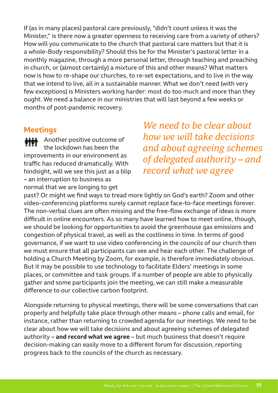If (as in many places) pastoral care previously, "didn't count unless it was the Minister," is there now a greater openness to receiving care from a variety of others? How will you communicate to the church that pastoral care matters but that it is a whole-Body responsibility? Should this be for the Minister's pastoral letter in a monthly magazine, through a more personal letter, through teaching and preaching in church, or (almost certainly) a mixture of this and other means? What matters now is how to re-shape our churches, to re-set expectations, and to live in the way that we intend to live, all in a sustainable manner. What we don't need (with very few exceptions) is Ministers working harder: most do too much and more than they ought. We need a balance in our ministries that will last beyond a few weeks or months of post-pandemic recovery.

#### **Meetings**

Another positive outcome of **MM** the lockdown has been the improvements in our environment as traffic has reduced dramatically. With hindsight, will we see this just as a blip – an interruption to business as normal that we are longing to get

*We need to be clear about how we will take decisions and about agreeing schemes of delegated authority – and record what we agree*

past? Or might we find ways to tread more lightly on God's earth? Zoom and other video-conferencing platforms surely cannot replace face-to-face meetings forever. The non-verbal clues are often missing and the free-flow exchange of ideas is more difficult in online encounters. As so many have learned how to meet online, though, we should be looking for opportunities to avoid the greenhouse gas emissions and congestion of physical travel, as well as the costliness in time. In terms of good governance, if we want to use video conferencing in the councils of our church then we must ensure that all participants can see and hear each other. The challenge of holding a Church Meeting by Zoom, for example, is therefore immediately obvious. But it may be possible to use technology to facilitate Elders' meetings in some places, or committee and task groups. If a number of people are able to physically gather and some participants join the meeting, we can still make a measurable difference to our collective carbon footprint.

Alongside returning to physical meetings, there will be some conversations that can properly and helpfully take place through other means – phone calls and email, for instance, rather than returning to crowded agenda for our meetings. We need to be clear about how we will take decisions and about agreeing schemes of delegated authority – **and record what we agree** – but much business that doesn't require decision-making can easily move to a different forum for discussion, reporting progress back to the councils of the church as necessary.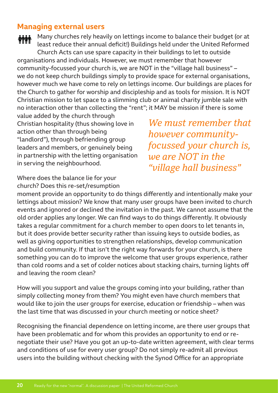## **Managing external users**

Many churches rely heavily on lettings income to balance their budget (or at least reduce their annual deficit!) Buildings held under the United Reformed Church Acts can use spare capacity in their buildings to let to outside organisations and individuals. However, we must remember that however community-focussed your church is, we are NOT in the "village hall business" – we do not keep church buildings simply to provide space for external organisations, however much we have come to rely on lettings income. Our buildings are places for the Church to gather for worship and discipleship and as tools for mission. It is NOT Christian mission to let space to a slimming club or animal charity jumble sale with no interaction other than collecting the "rent"; it MAY be mission if there is some

value added by the church through Christian hospitality (thus showing love in action other than through being "landlord"), through befriending group leaders and members, or genuinely being in partnership with the letting organisation in serving the neighbourhood.

*We must remember that however communityfocussed your church is, we are NOT in the "village hall business"*

Where does the balance lie for your church? Does this re-set/resumption

moment provide an opportunity to do things differently and intentionally make your lettings about mission? We know that many user groups have been invited to church events and ignored or declined the invitation in the past. We cannot assume that the old order applies any longer. We can find ways to do things differently. It obviously takes a regular commitment for a church member to open doors to let tenants in, but it does provide better security rather than issuing keys to outside bodies, as well as giving opportunities to strengthen relationships, develop communication and build community. If that isn't the right way forwards for your church, is there something you can do to improve the welcome that user groups experience, rather than cold rooms and a set of colder notices about stacking chairs, turning lights off and leaving the room clean?

How will you support and value the groups coming into your building, rather than simply collecting money from them? You might even have church members that would like to join the user groups for exercise, education or friendship – when was the last time that was discussed in your church meeting or notice sheet?

Recognising the financial dependence on letting income, are there user groups that have been problematic and for whom this provides an opportunity to end or renegotiate their use? Have you got an up-to-date written agreement, with clear terms and conditions of use for every user group? Do not simply re-admit all previous users into the building without checking with the Synod Office for an appropriate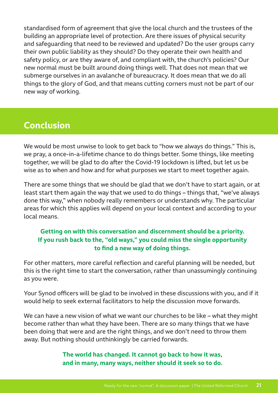standardised form of agreement that give the local church and the trustees of the building an appropriate level of protection. Are there issues of physical security and safeguarding that need to be reviewed and updated? Do the user groups carry their own public liability as they should? Do they operate their own health and safety policy, or are they aware of, and compliant with, the church's policies? Our new normal must be built around doing things well. That does not mean that we submerge ourselves in an avalanche of bureaucracy. It does mean that we do all things to the glory of God, and that means cutting corners must not be part of our new way of working.

# **Conclusion**

We would be most unwise to look to get back to "how we always do things." This is, we pray, a once-in-a-lifetime chance to do things better. Some things, like meeting together, we will be glad to do after the Covid-19 lockdown is lifted, but let us be wise as to when and how and for what purposes we start to meet together again.

There are some things that we should be glad that we don't have to start again, or at least start them again the way that we used to do things – things that, "we've always done this way," when nobody really remembers or understands why. The particular areas for which this applies will depend on your local context and according to your local means.

#### **Getting on with this conversation and discernment should be a priority. If you rush back to the, "old ways," you could miss the single opportunity to find a new way of doing things.**

For other matters, more careful reflection and careful planning will be needed, but this is the right time to start the conversation, rather than unassumingly continuing as you were.

Your Synod officers will be glad to be involved in these discussions with you, and if it would help to seek external facilitators to help the discussion move forwards.

We can have a new vision of what we want our churches to be like – what they might become rather than what they have been. There are so many things that we have been doing that were and are the right things, and we don't need to throw them away. But nothing should unthinkingly be carried forwards.

#### **The world has changed. It cannot go back to how it was, and in many, many ways, neither should it seek so to do.**